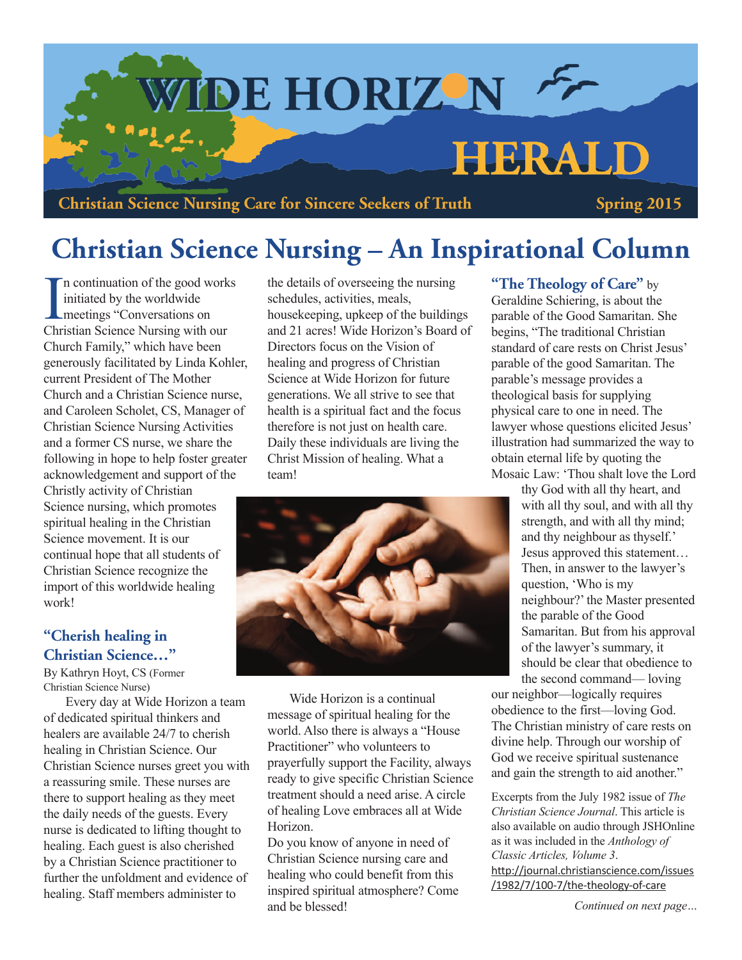

**Christian Science Nursing Care for Sincere Seekers of Truth Spring 2015**

# **Christian Science Nursing – An Inspirational Column**

In continuation of the good w<br>
initiated by the worldwide<br>
meetings "Conversations on<br>
Christian Science Nursing with n continuation of the good works initiated by the worldwide Christian Science Nursing with our Church Family," which have been generously facilitated by Linda Kohler, current President of The Mother Church and a Christian Science nurse, and Caroleen Scholet, CS, Manager of Christian Science Nursing Activities and a former CS nurse, we share the following in hope to help foster greater acknowledgement and support of the Christly activity of Christian Science nursing, which promotes spiritual healing in the Christian Science movement. It is our continual hope that all students of Christian Science recognize the import of this worldwide healing work!

### **"Cherish healing in Christian Science…"**

By Kathryn Hoyt, CS (Former Christian Science Nurse)

Every day at Wide Horizon a team of dedicated spiritual thinkers and healers are available 24/7 to cherish healing in Christian Science. Our Christian Science nurses greet you with a reassuring smile. These nurses are there to support healing as they meet the daily needs of the guests. Every nurse is dedicated to lifting thought to healing. Each guest is also cherished by a Christian Science practitioner to further the unfoldment and evidence of healing. Staff members administer to

the details of overseeing the nursing schedules, activities, meals, housekeeping, upkeep of the buildings and 21 acres! Wide Horizon's Board of Directors focus on the Vision of healing and progress of Christian Science at Wide Horizon for future generations. We all strive to see that health is a spiritual fact and the focus therefore is not just on health care. Daily these individuals are living the Christ Mission of healing. What a team!



Wide Horizon is a continual message of spiritual healing for the world. Also there is always a "House Practitioner" who volunteers to prayerfully support the Facility, always ready to give specific Christian Science treatment should a need arise. A circle of healing Love embraces all at Wide Horizon.

Do you know of anyone in need of Christian Science nursing care and healing who could benefit from this inspired spiritual atmosphere? Come and be blessed!

### **"The Theology of Care"** by

Geraldine Schiering, is about the parable of the Good Samaritan. She begins, "The traditional Christian standard of care rests on Christ Jesus' parable of the good Samaritan. The parable's message provides a theological basis for supplying physical care to one in need. The lawyer whose questions elicited Jesus' illustration had summarized the way to obtain eternal life by quoting the Mosaic Law: 'Thou shalt love the Lord

thy God with all thy heart, and with all thy soul, and with all thy strength, and with all thy mind; and thy neighbour as thyself.' Jesus approved this statement… Then, in answer to the lawyer's question, 'Who is my neighbour?'the Master presented the parable of the Good Samaritan. But from his approval of the lawyer's summary, it should be clear that obedience to the second command— loving

our neighbor—logically requires obedience to the first—loving God. The Christian ministry of care rests on divine help. Through our worship of God we receive spiritual sustenance and gain the strength to aid another."

Excerpts from the July 1982 issue of *The Christian Science Journal*. This article is also available on audio through JSHOnline as it was included in the *Anthology of Classic Articles, Volume 3*. http://journal.christianscience.com/issues /1982/7/100-7/the-theology-of-care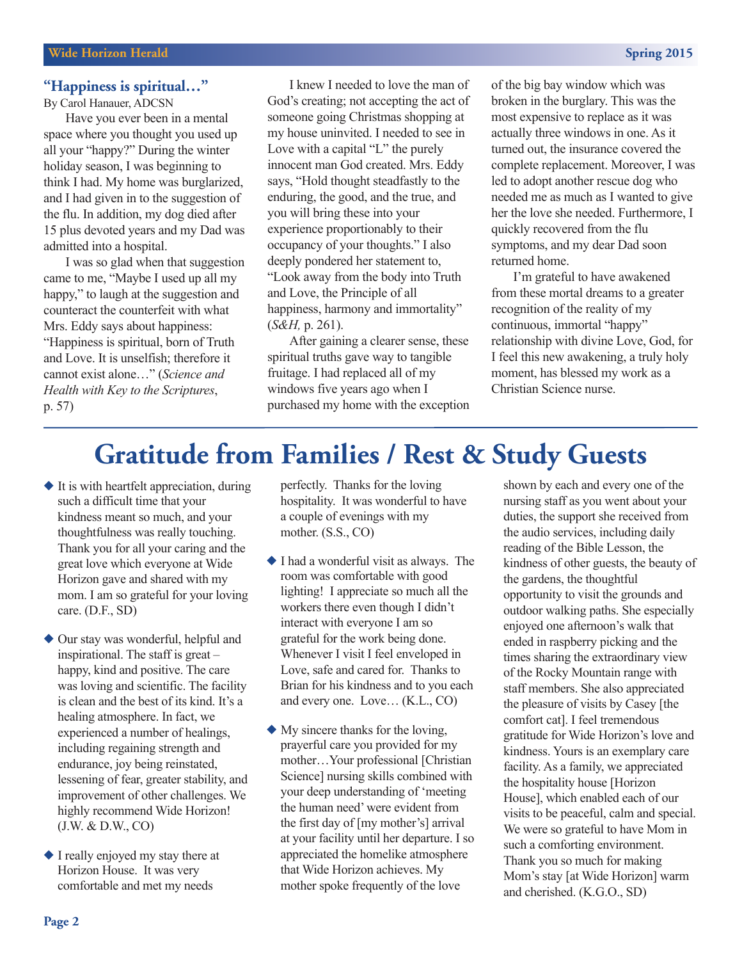#### **"Happiness is spiritual…"**

By Carol Hanauer, ADCSN

Have you ever been in a mental space where you thought you used up all your "happy?" During the winter holiday season, I was beginning to think I had. My home was burglarized, and I had given in to the suggestion of the flu. In addition, my dog died after 15 plus devoted years and my Dad was admitted into a hospital.

I was so glad when that suggestion came to me, "Maybe I used up all my happy," to laugh at the suggestion and counteract the counterfeit with what Mrs. Eddy says about happiness: "Happiness is spiritual, born of Truth and Love. It is unselfish; therefore it cannot exist alone…" (*Science and Health with Key to the Scriptures*, p. 57)

I knew I needed to love the man of God's creating; not accepting the act of someone going Christmas shopping at my house uninvited. I needed to see in Love with a capital "L" the purely innocent man God created. Mrs. Eddy says, "Hold thought steadfastly to the enduring, the good, and the true, and you will bring these into your experience proportionably to their occupancy of your thoughts." I also deeply pondered her statement to, "Look away from the body into Truth and Love, the Principle of all happiness, harmony and immortality" (*S&H,* p. 261).

After gaining a clearer sense, these spiritual truths gave way to tangible fruitage. I had replaced all of my windows five years ago when I purchased my home with the exception of the big bay window which was broken in the burglary. This was the most expensive to replace as it was actually three windows in one. As it turned out, the insurance covered the complete replacement. Moreover, I was led to adopt another rescue dog who needed me as much as I wanted to give her the love she needed. Furthermore, I quickly recovered from the flu symptoms, and my dear Dad soon returned home.

I'm grateful to have awakened from these mortal dreams to a greater recognition of the reality of my continuous, immortal "happy" relationship with divine Love, God, for I feel this new awakening, a truly holy moment, has blessed my work as a Christian Science nurse.

### **Gratitude from Families / Rest & Study Guests**

- $\blacklozenge$  It is with heartfelt appreciation, during such a difficult time that your kindness meant so much, and your thoughtfulness was really touching. Thank you for all your caring and the great love which everyone at Wide Horizon gave and shared with my mom. I am so grateful for your loving care. (D.F., SD)
- $\blacklozenge$  Our stay was wonderful, helpful and inspirational. The staff is great – happy, kind and positive. The care was loving and scientific. The facility is clean and the best of its kind. It's a healing atmosphere. In fact, we experienced a number of healings, including regaining strength and endurance, joy being reinstated, lessening of fear, greater stability, and improvement of other challenges. We highly recommend Wide Horizon! (J.W. & D.W., CO)
- $\blacklozenge$  I really enjoyed my stay there at Horizon House. It was very comfortable and met my needs

perfectly. Thanks for the loving hospitality. It was wonderful to have a couple of evenings with my mother. (S.S., CO)

- $\blacklozenge$  I had a wonderful visit as always. The room was comfortable with good lighting! I appreciate so much all the workers there even though I didn't interact with everyone I am so grateful for the work being done. Whenever I visit I feel enveloped in Love, safe and cared for. Thanks to Brian for his kindness and to you each and every one. Love… (K.L., CO)
- $\blacklozenge$  My sincere thanks for the loving, prayerful care you provided for my mother…Your professional [Christian Science] nursing skills combined with your deep understanding of 'meeting the human need' were evident from the first day of [my mother's] arrival at your facility until her departure. I so appreciated the homelike atmosphere that Wide Horizon achieves. My mother spoke frequently of the love

shown by each and every one of the nursing staff as you went about your duties, the support she received from the audio services, including daily reading of the Bible Lesson, the kindness of other guests, the beauty of the gardens, the thoughtful opportunity to visit the grounds and outdoor walking paths. She especially enjoyed one afternoon's walk that ended in raspberry picking and the times sharing the extraordinary view of the Rocky Mountain range with staff members. She also appreciated the pleasure of visits by Casey [the comfort cat]. I feel tremendous gratitude for Wide Horizon's love and kindness. Yours is an exemplary care facility. As a family, we appreciated the hospitality house [Horizon House], which enabled each of our visits to be peaceful, calm and special. We were so grateful to have Mom in such a comforting environment. Thank you so much for making Mom's stay [at Wide Horizon] warm and cherished. (K.G.O., SD)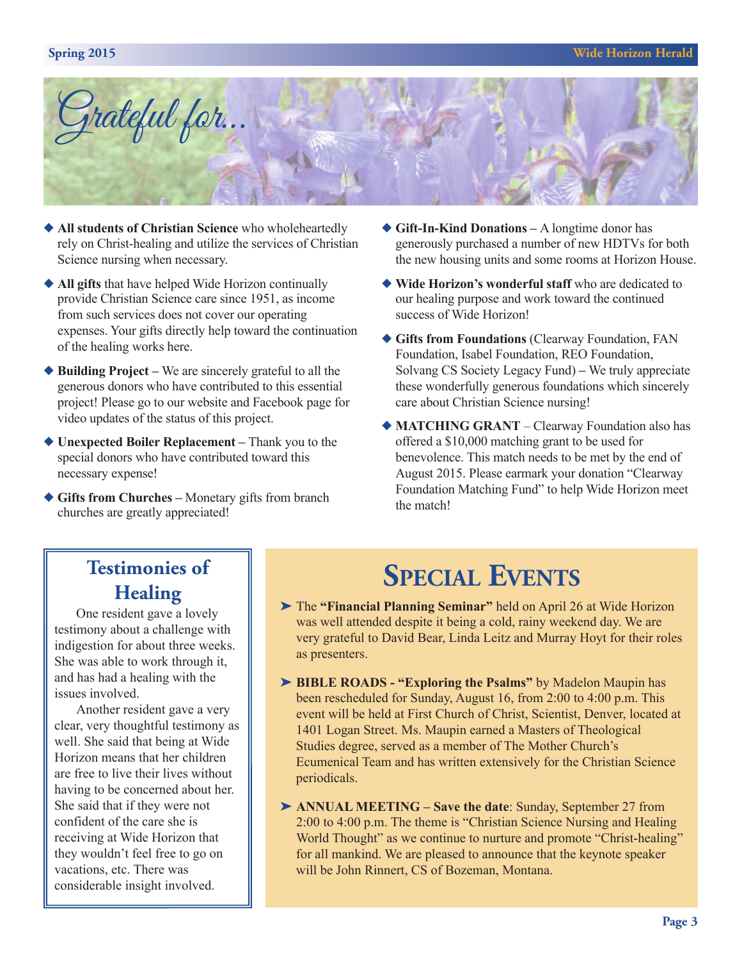

- ◆ All **students** of Christian Science who wholeheartedly rely on Christ-healing and utilize the services of Christian Science nursing when necessary.
- ◆ **All gifts** that have helped Wide Horizon continually provide Christian Science care since 1951, as income from such services does not cover our operating expenses. Your gifts directly help toward the continuation of the healing works here.
- ◆ **Building Project** We are sincerely grateful to all the generous donors who have contributed to this essential project! Please go to our website and Facebook page for video updates of the status of this project.
- ◆ **Unexpected Boiler Replacement** Thank you to the special donors who have contributed toward this necessary expense!
- ◆ Gifts from Churches Monetary gifts from branch churches are greatly appreciated!
- ◆ Gift-In-Kind Donations A longtime donor has generously purchased a number of new HDTVs for both the new housing units and some rooms at Horizon House.
- ◆ Wide Horizon's wonderful staff who are dedicated to our healing purpose and work toward the continued success of Wide Horizon!
- u **Gifts from Foundations** (Clearway Foundation, FAN Foundation, Isabel Foundation, REO Foundation, Solvang CS Society Legacy Fund) **–** We truly appreciate these wonderfully generous foundations which sincerely care about Christian Science nursing!
- ◆ MATCHING GRANT Clearway Foundation also has offered a \$10,000 matching grant to be used for benevolence. This match needs to be met by the end of August 2015. Please earmark your donation "Clearway Foundation Matching Fund" to help Wide Horizon meet the match!

### **Testimonies of Healing**

One resident gave <sup>a</sup> lovely testimony about <sup>a</sup> challenge with indigestion for about three weeks. She was able to work through it, and has had <sup>a</sup> healing with the issues involved.

Another resident gave <sup>a</sup> very clear, very thoughtful testimony as well. She said that being at Wide Horizon means that her children are free to live their lives without having to be concerned about her. She said that if they were not confident of the care she is receiving at Wide Horizon that they wouldn't feel free to go on vacations, etc. There was considerable insight involved.

# **SPECIAL EVENTS**

- ‰ The **"Financial Planning Seminar"** held on April 26 at Wide Horizon was well attended despite it being a cold, rainy weekend day. We are very grateful to David Bear, Linda Leitz and Murray Hoyt for their roles as presenters.
- ‰ **BIBLE ROADS - "Exploring the Psalms"** by Madelon Maupin has been rescheduled for Sunday, August 16, from 2:00 to 4:00 p.m. This event will be held at First Church of Christ, Scientist, Denver, located at 1401 Logan Street. Ms. Maupin earned a Masters of Theological Studies degree, served as a member of The Mother Church's Ecumenical Team and has written extensively for the Christian Science periodicals.
- ‰ **ANNUAL MEETING – Save the date**: Sunday, September 27 from 2:00 to 4:00 p.m. The theme is "Christian Science Nursing and Healing World Thought" as we continue to nurture and promote "Christ-healing" for all mankind. We are pleased to announce that the keynote speaker will be John Rinnert, CS of Bozeman, Montana.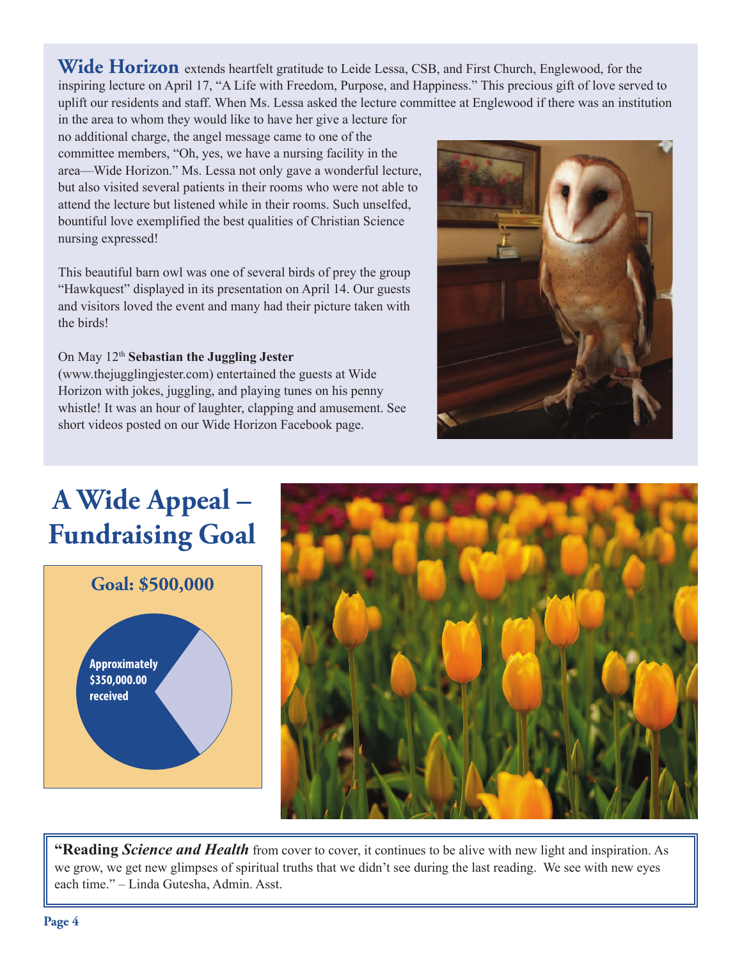**Wide Horizon** extends heartfelt gratitude to Leide Lessa, CSB, and First Church, Englewood, for the inspiring lecture on April 17, "A Life with Freedom, Purpose, and Happiness." This precious gift of love served to uplift our residents and staff. When Ms. Lessa asked the lecture committee at Englewood if there was an institution

in the area to whom they would like to have her give a lecture for no additional charge, the angel message came to one of the committee members, "Oh, yes, we have a nursing facility in the area—Wide Horizon." Ms. Lessa not only gave a wonderful lecture, but also visited several patients in their rooms who were not able to attend the lecture but listened while in their rooms. Such unselfed, bountiful love exemplified the best qualities of Christian Science nursing expressed!

This beautiful barn owl was one of several birds of prey the group "Hawkquest" displayed in its presentation on April 14. Our guests and visitors loved the event and many had their picture taken with the birds!

### On May 12th **Sebastian the Juggling Jester**

(www.thejugglingjester.com) entertained the guests at Wide Horizon with jokes, juggling, and playing tunes on his penny whistle! It was an hour of laughter, clapping and amusement. See short videos posted on our Wide Horizon Facebook page.



### **<sup>A</sup> Wide Appeal – Fundraising Goal**





**"Reading** *Science and Health* from cover to cover, it continues to be alive with new light and inspiration. As we grow, we get new glimpses of spiritual truths that we didn't see during the last reading. We see with new eyes each time." – Linda Gutesha, Admin. Asst.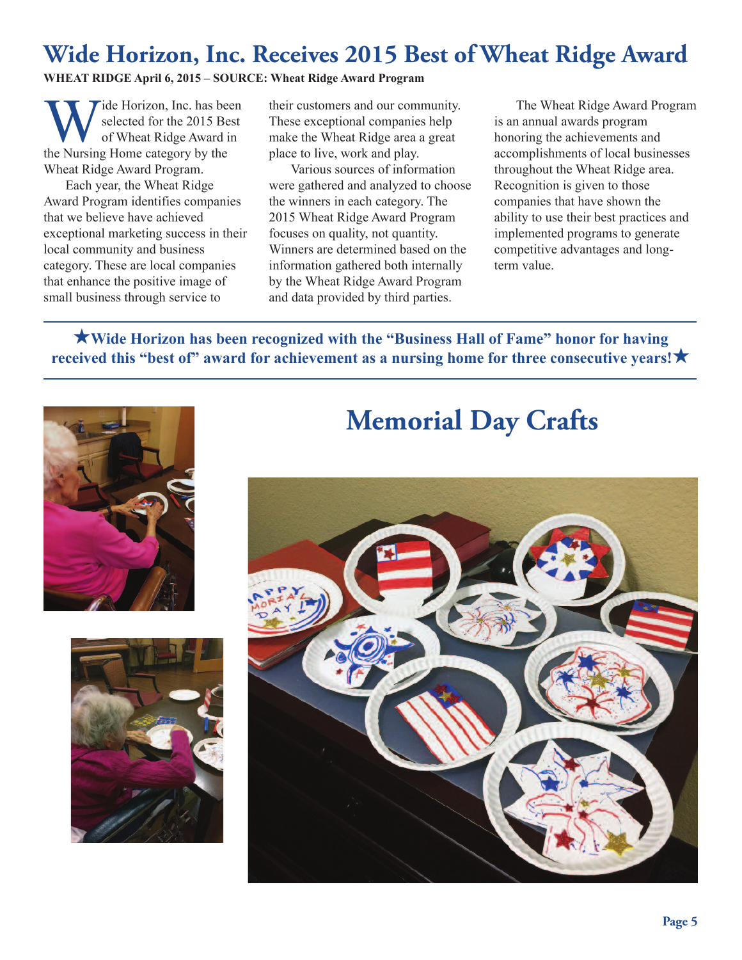### **Wide Horizon, Inc. Receives 2015 Best of Wheat Ridge Award**

### **WHEAT RIDGE April 6, 2015 – SOURCE: Wheat Ridge Award Program**

Tide Horizon, Inc. has been selected for the 2015 Best of Wheat Ridge Award in the Nursing Home category by the Wheat Ridge Award Program.

Each year, the Wheat Ridge Award Program identifies companies that we believe have achieved exceptional marketing success in their local community and business category. These are local companies that enhance the positive image of small business through service to

their customers and our community. These exceptional companies help make the Wheat Ridge area a great place to live, work and play.

Various sources of information were gathered and analyzed to choose the winners in each category. The 2015 Wheat Ridge Award Program focuses on quality, not quantity. Winners are determined based on the information gathered both internally by the Wheat Ridge Award Program and data provided by third parties.

The Wheat Ridge Award Program is an annual awards program honoring the achievements and accomplishments of local businesses throughout the Wheat Ridge area. Recognition is given to those companies that have shown the ability to use their best practices and implemented programs to generate competitive advantages and longterm value.

H**Wide Horizon has been recognized with the "Business Hall of Fame" honor for having received this "best of" award for achievement as a nursing home for three consecutive years!**H





### **Memorial Day Crafts**